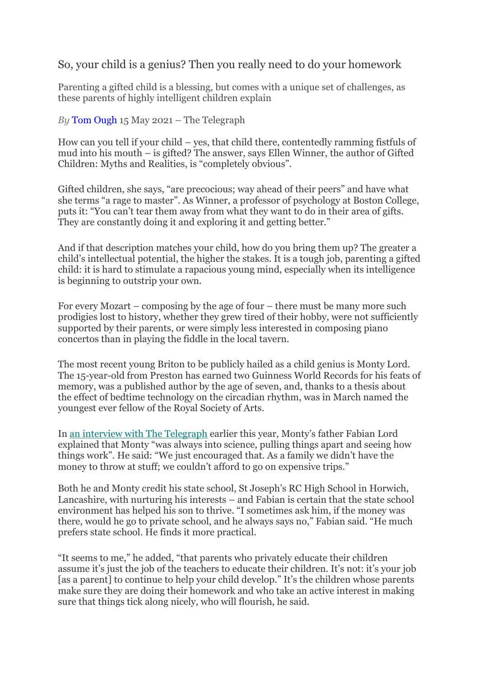## So, your child is a genius? Then you really need to do your homework

Parenting a gifted child is a blessing, but comes with a unique set of challenges, as these parents of highly intelligent children explain

*By* [Tom Ough](https://www.telegraph.co.uk/authors/t/tk-to/tom-ough/) 15 May 2021 – The Telegraph

How can you tell if your child – yes, that child there, contentedly ramming fistfuls of mud into his mouth – is gifted? The answer, says Ellen Winner, the author of Gifted Children: Myths and Realities, is "completely obvious".

Gifted children, she says, "are precocious; way ahead of their peers" and have what she terms "a rage to master". As Winner, a professor of psychology at Boston College, puts it: "You can't tear them away from what they want to do in their area of gifts. They are constantly doing it and exploring it and getting better."

And if that description matches your child, how do you bring them up? The greater a child's intellectual potential, the higher the stakes. It is a tough job, parenting a gifted child: it is hard to stimulate a rapacious young mind, especially when its intelligence is beginning to outstrip your own.

For every Mozart – composing by the age of four – there must be many more such prodigies lost to history, whether they grew tired of their hobby, were not sufficiently supported by their parents, or were simply less interested in composing piano concertos than in playing the fiddle in the local tavern.

The most recent young Briton to be publicly hailed as a child genius is Monty Lord. The 15-year-old from Preston has earned two Guinness World Records for his feats of memory, was a published author by the age of seven, and, thanks to a thesis about the effect of bedtime technology on the circadian rhythm, was in March named the youngest ever fellow of the Royal Society of Arts.

In [an interview with The Telegraph](https://www.telegraph.co.uk/family/life/want-raise-child-genius-send-state-school/) earlier this year, Monty's father Fabian Lord explained that Monty "was always into science, pulling things apart and seeing how things work". He said: "We just encouraged that. As a family we didn't have the money to throw at stuff; we couldn't afford to go on expensive trips."

Both he and Monty credit his state school, St Joseph's RC High School in Horwich, Lancashire, with nurturing his interests – and Fabian is certain that the state school environment has helped his son to thrive. "I sometimes ask him, if the money was there, would he go to private school, and he always says no," Fabian said. "He much prefers state school. He finds it more practical.

"It seems to me," he added, "that parents who privately educate their children assume it's just the job of the teachers to educate their children. It's not: it's your job [as a parent] to continue to help your child develop." It's the children whose parents make sure they are doing their homework and who take an active interest in making sure that things tick along nicely, who will flourish, he said.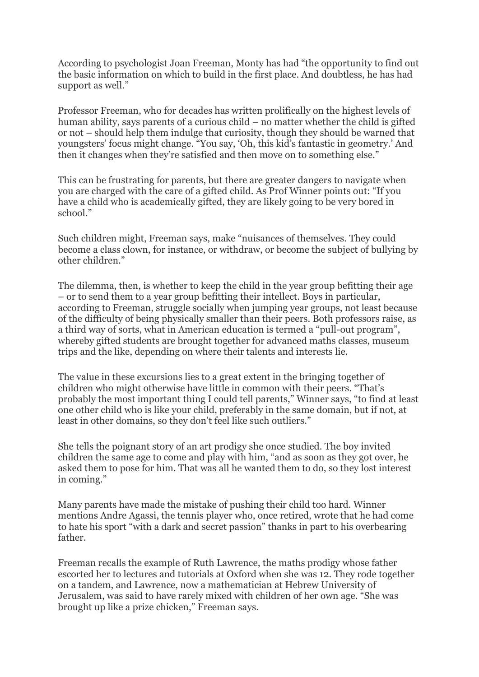According to psychologist Joan Freeman, Monty has had "the opportunity to find out the basic information on which to build in the first place. And doubtless, he has had support as well."

Professor Freeman, who for decades has written prolifically on the highest levels of human ability, says parents of a curious child – no matter whether the child is gifted or not – should help them indulge that curiosity, though they should be warned that youngsters' focus might change. "You say, 'Oh, this kid's fantastic in geometry.' And then it changes when they're satisfied and then move on to something else."

This can be frustrating for parents, but there are greater dangers to navigate when you are charged with the care of a gifted child. As Prof Winner points out: "If you have a child who is academically gifted, they are likely going to be very bored in school."

Such children might, Freeman says, make "nuisances of themselves. They could become a class clown, for instance, or withdraw, or become the subject of bullying by other children."

The dilemma, then, is whether to keep the child in the year group befitting their age – or to send them to a year group befitting their intellect. Boys in particular, according to Freeman, struggle socially when jumping year groups, not least because of the difficulty of being physically smaller than their peers. Both professors raise, as a third way of sorts, what in American education is termed a "pull-out program", whereby gifted students are brought together for advanced maths classes, museum trips and the like, depending on where their talents and interests lie.

The value in these excursions lies to a great extent in the bringing together of children who might otherwise have little in common with their peers. "That's probably the most important thing I could tell parents," Winner says, "to find at least one other child who is like your child, preferably in the same domain, but if not, at least in other domains, so they don't feel like such outliers."

She tells the poignant story of an art prodigy she once studied. The boy invited children the same age to come and play with him, "and as soon as they got over, he asked them to pose for him. That was all he wanted them to do, so they lost interest in coming."

Many parents have made the mistake of pushing their child too hard. Winner mentions Andre Agassi, the tennis player who, once retired, wrote that he had come to hate his sport "with a dark and secret passion" thanks in part to his overbearing father.

Freeman recalls the example of Ruth Lawrence, the maths prodigy whose father escorted her to lectures and tutorials at Oxford when she was 12. They rode together on a tandem, and Lawrence, now a mathematician at Hebrew University of Jerusalem, was said to have rarely mixed with children of her own age. "She was brought up like a prize chicken," Freeman says.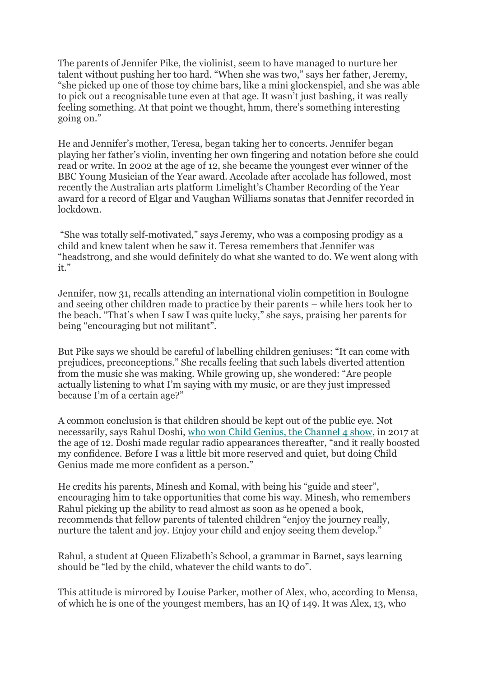The parents of Jennifer Pike, the violinist, seem to have managed to nurture her talent without pushing her too hard. "When she was two," says her father, Jeremy, "she picked up one of those toy chime bars, like a mini glockenspiel, and she was able to pick out a recognisable tune even at that age. It wasn't just bashing, it was really feeling something. At that point we thought, hmm, there's something interesting going on."

He and Jennifer's mother, Teresa, began taking her to concerts. Jennifer began playing her father's violin, inventing her own fingering and notation before she could read or write. In 2002 at the age of 12, she became the youngest ever winner of the BBC Young Musician of the Year award. Accolade after accolade has followed, most recently the Australian arts platform Limelight's Chamber Recording of the Year award for a record of Elgar and Vaughan Williams sonatas that Jennifer recorded in lockdown.

"She was totally self-motivated," says Jeremy, who was a composing prodigy as a child and knew talent when he saw it. Teresa remembers that Jennifer was "headstrong, and she would definitely do what she wanted to do. We went along with it."

Jennifer, now 31, recalls attending an international violin competition in Boulogne and seeing other children made to practice by their parents – while hers took her to the beach. "That's when I saw I was quite lucky," she says, praising her parents for being "encouraging but not militant".

But Pike says we should be careful of labelling children geniuses: "It can come with prejudices, preconceptions." She recalls feeling that such labels diverted attention from the music she was making. While growing up, she wondered: "Are people actually listening to what I'm saying with my music, or are they just impressed because I'm of a certain age?"

A common conclusion is that children should be kept out of the public eye. Not necessarily, says Rahul Doshi, [who won Child Genius, the Channel 4 show,](https://www.telegraph.co.uk/family/parenting/meet-rahul-family-helped-create-child-genius/) in 2017 at the age of 12. Doshi made regular radio appearances thereafter, "and it really boosted my confidence. Before I was a little bit more reserved and quiet, but doing Child Genius made me more confident as a person."

He credits his parents, Minesh and Komal, with being his "guide and steer", encouraging him to take opportunities that come his way. Minesh, who remembers Rahul picking up the ability to read almost as soon as he opened a book, recommends that fellow parents of talented children "enjoy the journey really, nurture the talent and joy. Enjoy your child and enjoy seeing them develop."

Rahul, a student at Queen Elizabeth's School, a grammar in Barnet, says learning should be "led by the child, whatever the child wants to do".

This attitude is mirrored by Louise Parker, mother of Alex, who, according to Mensa, of which he is one of the youngest members, has an IQ of 149. It was Alex, 13, who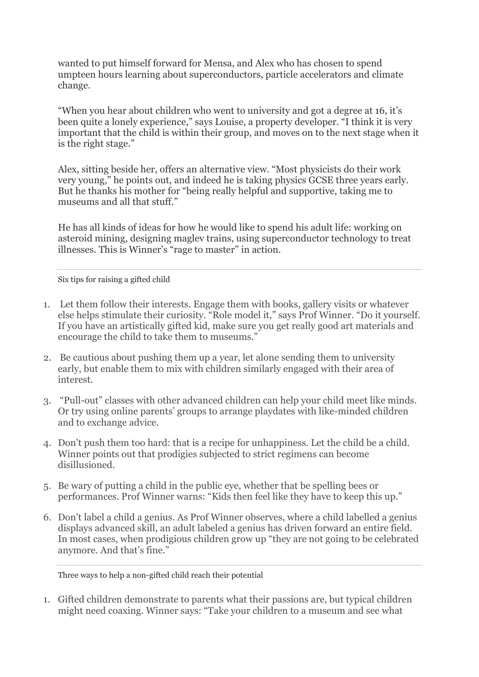wanted to put himself forward for Mensa, and Alex who has chosen to spend umpteen hours learning about superconductors, particle accelerators and climate change.

"When you hear about children who went to university and got a degree at 16, it's been quite a lonely experience," says Louise, a property developer. "I think it is very important that the child is within their group, and moves on to the next stage when it is the right stage."

Alex, sitting beside her, offers an alternative view. "Most physicists do their work very young," he points out, and indeed he is taking physics GCSE three years early. But he thanks his mother for "being really helpful and supportive, taking me to museums and all that stuff."

He has all kinds of ideas for how he would like to spend his adult life: working on asteroid mining, designing maglev trains, using superconductor technology to treat illnesses. This is Winner's "rage to master" in action.

Six tips for raising a gifted child

- 1. Let them follow their interests. Engage them with books, gallery visits or whatever else helps stimulate their curiosity. "Role model it," says Prof Winner. "Do it yourself. If you have an artistically gifted kid, make sure you get really good art materials and encourage the child to take them to museums."
- 2. Be cautious about pushing them up a year, let alone sending them to university early, but enable them to mix with children similarly engaged with their area of interest.
- 3. "Pull-out" classes with other advanced children can help your child meet like minds. Or try using online parents' groups to arrange playdates with like-minded children and to exchange advice.
- 4. Don't push them too hard: that is a recipe for unhappiness. Let the child be a child. Winner points out that prodigies subjected to strict regimens can become disillusioned.
- 5. Be wary of putting a child in the public eye, whether that be spelling bees or performances. Prof Winner warns: "Kids then feel like they have to keep this up."
- 6. Don't label a child a genius. As Prof Winner observes, where a child labelled a genius displays advanced skill, an adult labeled a genius has driven forward an entire field. In most cases, when prodigious children grow up "they are not going to be celebrated anymore. And that's fine."

Three ways to help a non-gifted child reach their potential

1. Gifted children demonstrate to parents what their passions are, but typical children might need coaxing. Winner says: "Take your children to a museum and see what